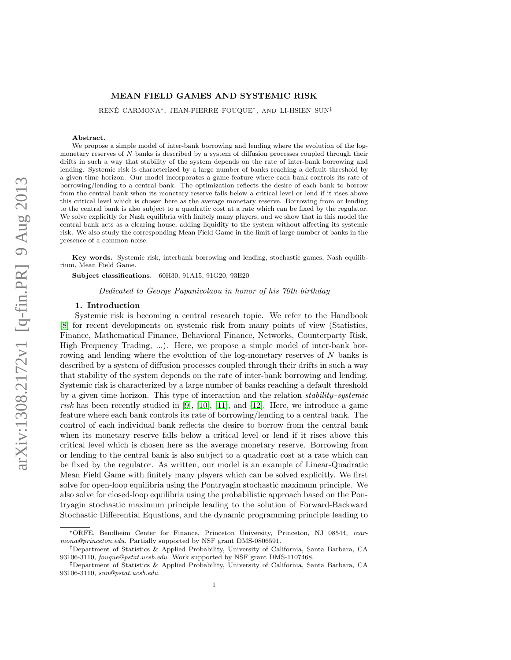## MEAN FIELD GAMES AND SYSTEMIC RISK

RENÉ CARMONA\*, JEAN-PIERRE FOUQUE<sup>†</sup>, AND LI-HSIEN SUN<sup>‡</sup>

#### Abstract.

We propose a simple model of inter-bank borrowing and lending where the evolution of the logmonetary reserves of N banks is described by a system of diffusion processes coupled through their drifts in such a way that stability of the system depends on the rate of inter-bank borrowing and lending. Systemic risk is characterized by a large number of banks reaching a default threshold by a given time horizon. Our model incorporates a game feature where each bank controls its rate of borrowing/lending to a central bank. The optimization reflects the desire of each bank to borrow from the central bank when its monetary reserve falls below a critical level or lend if it rises above this critical level which is chosen here as the average monetary reserve. Borrowing from or lending to the central bank is also subject to a quadratic cost at a rate which can be fixed by the regulator. We solve explicitly for Nash equilibria with finitely many players, and we show that in this model the central bank acts as a clearing house, adding liquidity to the system without affecting its systemic risk. We also study the corresponding Mean Field Game in the limit of large number of banks in the presence of a common noise.

Key words. Systemic risk, interbank borrowing and lending, stochastic games, Nash equilibrium, Mean Field Game.

Subject classifications. 60H30, 91A15, 91G20, 93E20

Dedicated to George Papanicolaou in honor of his 70th birthday

#### 1. Introduction

Systemic risk is becoming a central research topic. We refer to the Handbook [\[8\]](#page-21-0) for recent developments on systemic risk from many points of view (Statistics, Finance, Mathematical Finance, Behavioral Finance, Networks, Counterparty Risk, High Frequency Trading, ...). Here, we propose a simple model of inter-bank borrowing and lending where the evolution of the log-monetary reserves of N banks is described by a system of diffusion processes coupled through their drifts in such a way that stability of the system depends on the rate of inter-bank borrowing and lending. Systemic risk is characterized by a large number of banks reaching a default threshold by a given time horizon. This type of interaction and the relation stability–systemic risk has been recently studied in [\[9\]](#page-21-1), [\[10\]](#page-21-2), [\[11\]](#page-21-3), and [\[12\]](#page-21-4). Here, we introduce a game feature where each bank controls its rate of borrowing/lending to a central bank. The control of each individual bank reflects the desire to borrow from the central bank when its monetary reserve falls below a critical level or lend if it rises above this critical level which is chosen here as the average monetary reserve. Borrowing from or lending to the central bank is also subject to a quadratic cost at a rate which can be fixed by the regulator. As written, our model is an example of Linear-Quadratic Mean Field Game with finitely many players which can be solved explicitly. We first solve for open-loop equilibria using the Pontryagin stochastic maximum principle. We also solve for closed-loop equilibria using the probabilistic approach based on the Pontryagin stochastic maximum principle leading to the solution of Forward-Backward Stochastic Differential Equations, and the dynamic programming principle leading to

<sup>∗</sup>ORFE, Bendheim Center for Finance, Princeton University, Princeton, NJ 08544, rcarmona@princeton.edu. Partially supported by NSF grant DMS-0806591.

<sup>†</sup>Department of Statistics & Applied Probability, University of California, Santa Barbara, CA 93106-3110, fouque@pstat.ucsb.edu. Work supported by NSF grant DMS-1107468.

<sup>‡</sup>Department of Statistics & Applied Probability, University of California, Santa Barbara, CA 93106-3110, sun@pstat.ucsb.edu.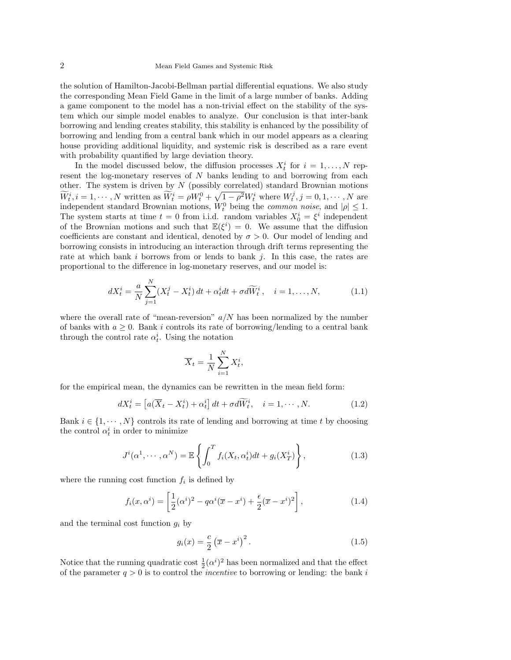the solution of Hamilton-Jacobi-Bellman partial differential equations. We also study the corresponding Mean Field Game in the limit of a large number of banks. Adding a game component to the model has a non-trivial effect on the stability of the system which our simple model enables to analyze. Our conclusion is that inter-bank borrowing and lending creates stability, this stability is enhanced by the possibility of borrowing and lending from a central bank which in our model appears as a clearing house providing additional liquidity, and systemic risk is described as a rare event with probability quantified by large deviation theory.

In the model discussed below, the diffusion processes  $X_t^i$  for  $i = 1, ..., N$  represent the log-monetary reserves of N banks lending to and borrowing from each other. The system is driven by  $N$  (possibly correlated) standard Brownian motions  $\widetilde{W}_t^i, i = 1, \cdots, N$  written as  $\widetilde{W}_t^i = \rho W_t^0 + \sqrt{1 - \rho^2} W_t^i$  where  $W_t^j, j = 0, 1, \cdots, N$  are independent standard Brownian motions,  $W_t^0$  being the *common noise*, and  $|\rho| \leq 1$ . The system starts at time  $t = 0$  from i.i.d. random variables  $X_0^i = \xi^i$  independent of the Brownian motions and such that  $\mathbb{E}(\xi^i) = 0$ . We assume that the diffusion coefficients are constant and identical, denoted by  $\sigma > 0$ . Our model of lending and borrowing consists in introducing an interaction through drift terms representing the rate at which bank i borrows from or lends to bank j. In this case, the rates are proportional to the difference in log-monetary reserves, and our model is:

<span id="page-1-2"></span>
$$
dX_t^i = \frac{a}{N} \sum_{j=1}^N (X_t^j - X_t^i) dt + \alpha_t^i dt + \sigma d\widetilde{W}_t^i, \quad i = 1, \dots, N,
$$
 (1.1)

where the overall rate of "mean-reversion"  $a/N$  has been normalized by the number of banks with  $a \geq 0$ . Bank i controls its rate of borrowing/lending to a central bank through the control rate  $\alpha_t^i$ . Using the notation

$$
\overline{X}_t = \frac{1}{N} \sum_{i=1}^N X_t^i,
$$

for the empirical mean, the dynamics can be rewritten in the mean field form:

<span id="page-1-0"></span>
$$
dX_t^i = \left[ a(\overline{X}_t - X_t^i) + \alpha_t^i \right] dt + \sigma d\widetilde{W}_t^i, \quad i = 1, \cdots, N. \tag{1.2}
$$

Bank  $i \in \{1, \dots, N\}$  controls its rate of lending and borrowing at time t by choosing the control  $\alpha_t^i$  in order to minimize

<span id="page-1-1"></span>
$$
J^{i}(\alpha^{1},\cdots,\alpha^{N}) = \mathbb{E}\left\{\int_{0}^{T} f_{i}(X_{t},\alpha_{t}^{i})dt + g_{i}(X_{T}^{i})\right\},
$$
\n(1.3)

where the running cost function  $f_i$  is defined by

$$
f_i(x, \alpha^i) = \left[\frac{1}{2}(\alpha^i)^2 - q\alpha^i(\overline{x} - x^i) + \frac{\epsilon}{2}(\overline{x} - x^i)^2\right],
$$
\n(1.4)

and the terminal cost function  $q_i$  by

<span id="page-1-3"></span>
$$
g_i(x) = \frac{c}{2} \left(\overline{x} - x^i\right)^2.
$$
 (1.5)

Notice that the running quadratic cost  $\frac{1}{2}(\alpha^i)^2$  has been normalized and that the effect of the parameter  $q > 0$  is to control the *incentive* to borrowing or lending: the bank i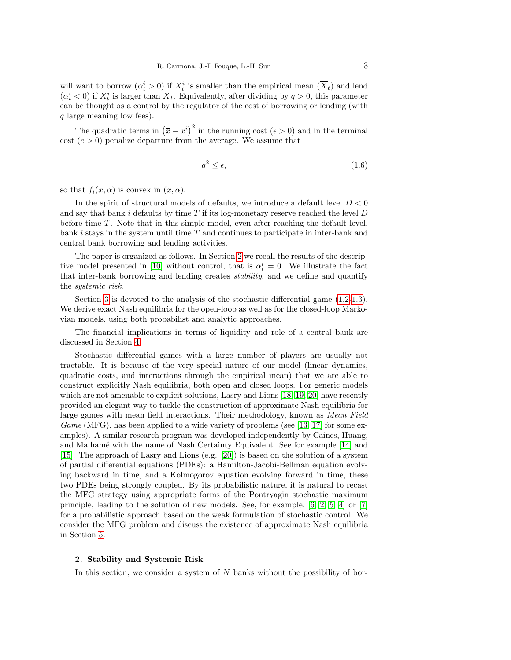will want to borrow  $(\alpha_t^i > 0)$  if  $X_t^i$  is smaller than the empirical mean  $(\overline{X}_t)$  and lend  $(\alpha_t^i < 0)$  if  $X_t^i$  is larger than  $\overline{X}_t$ . Equivalently, after dividing by  $q > 0$ , this parameter can be thought as a control by the regulator of the cost of borrowing or lending (with q large meaning low fees).

The quadratic terms in  $(\bar{x} - x^i)^2$  in the running cost  $(\epsilon > 0)$  and in the terminal cost  $(c > 0)$  penalize departure from the average. We assume that

$$
q^2 \le \epsilon,\tag{1.6}
$$

so that  $f_i(x, \alpha)$  is convex in  $(x, \alpha)$ .

In the spirit of structural models of defaults, we introduce a default level  $D < 0$ and say that bank i defaults by time  $T$  if its log-monetary reserve reached the level  $D$ before time T. Note that in this simple model, even after reaching the default level, bank  $i$  stays in the system until time  $T$  and continues to participate in inter-bank and central bank borrowing and lending activities.

The paper is organized as follows. In Section [2](#page-2-0) we recall the results of the descrip-tive model presented in [\[10\]](#page-21-2) without control, that is  $\alpha_t^i = 0$ . We illustrate the fact that inter-bank borrowing and lending creates stability, and we define and quantify the systemic risk.

Section [3](#page-6-0) is devoted to the analysis of the stochastic differential game [\(1.2-](#page-1-0)[1.3\)](#page-1-1). We derive exact Nash equilibria for the open-loop as well as for the closed-loop Markovian models, using both probabilist and analytic approaches.

The financial implications in terms of liquidity and role of a central bank are discussed in Section [4.](#page-15-0)

Stochastic differential games with a large number of players are usually not tractable. It is because of the very special nature of our model (linear dynamics, quadratic costs, and interactions through the empirical mean) that we are able to construct explicitly Nash equilibria, both open and closed loops. For generic models which are not amenable to explicit solutions, Lasry and Lions [\[18,](#page-21-5) [19,](#page-21-6) [20\]](#page-22-0) have recently provided an elegant way to tackle the construction of approximate Nash equilibria for large games with mean field interactions. Their methodology, known as Mean Field Game (MFG), has been applied to a wide variety of problems (see [\[13,](#page-21-7) [17\]](#page-21-8) for some examples). A similar research program was developed independently by Caines, Huang, and Malhamé with the name of Nash Certainty Equivalent. See for example [\[14\]](#page-21-9) and [\[15\]](#page-21-10). The approach of Lasry and Lions (e.g. [\[20\]](#page-22-0)) is based on the solution of a system of partial differential equations (PDEs): a Hamilton-Jacobi-Bellman equation evolving backward in time, and a Kolmogorov equation evolving forward in time, these two PDEs being strongly coupled. By its probabilistic nature, it is natural to recast the MFG strategy using appropriate forms of the Pontryagin stochastic maximum principle, leading to the solution of new models. See, for example, [\[6,](#page-21-11) [2,](#page-21-12) [5,](#page-21-13) [4\]](#page-21-14) or [\[7\]](#page-21-15) for a probabilistic approach based on the weak formulation of stochastic control. We consider the MFG problem and discuss the existence of approximate Nash equilibria in Section [5.](#page-17-0)

## <span id="page-2-0"></span>2. Stability and Systemic Risk

In this section, we consider a system of  $N$  banks without the possibility of bor-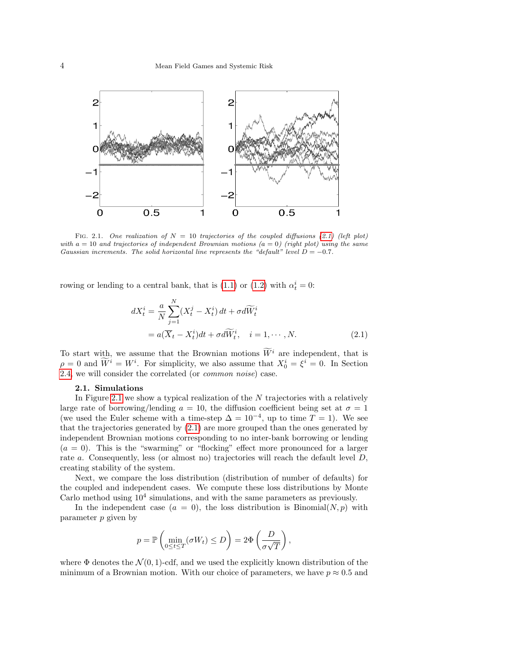

<span id="page-3-1"></span>FIG. 2.1. One realization of  $N = 10$  trajectories of the coupled diffusions [\(2.1\)](#page-3-0) (left plot) with  $a = 10$  and trajectories of independent Brownian motions  $(a = 0)$  (right plot) using the same Gaussian increments. The solid horizontal line represents the "default" level  $D = -0.7$ .

rowing or lending to a central bank, that is  $(1.1)$  or  $(1.2)$  with  $\alpha_t^i = 0$ :

<span id="page-3-0"></span>
$$
dX_t^i = \frac{a}{N} \sum_{j=1}^N (X_t^j - X_t^i) dt + \sigma d\widetilde{W}_t^i
$$
  
=  $a(\overline{X}_t - X_t^i) dt + \sigma d\widetilde{W}_t^i, \quad i = 1, \cdots, N.$  (2.1)

To start with, we assume that the Brownian motions  $\widetilde{W}^i$  are independent, that is  $\rho = 0$  and  $\tilde{W}^i = W^i$ . For simplicity, we also assume that  $X_0^i = \xi^i = 0$ . In Section [2.4,](#page-6-1) we will consider the correlated (or common noise) case.

#### 2.1. Simulations

In Figure [2.1](#page-3-1) we show a typical realization of the N trajectories with a relatively large rate of borrowing/lending  $a = 10$ , the diffusion coefficient being set at  $\sigma = 1$ (we used the Euler scheme with a time-step  $\Delta = 10^{-4}$ , up to time  $T = 1$ ). We see that the trajectories generated by [\(2.1\)](#page-3-0) are more grouped than the ones generated by independent Brownian motions corresponding to no inter-bank borrowing or lending  $(a = 0)$ . This is the "swarming" or "flocking" effect more pronounced for a larger rate a. Consequently, less (or almost no) trajectories will reach the default level  $D$ , creating stability of the system.

Next, we compare the loss distribution (distribution of number of defaults) for the coupled and independent cases. We compute these loss distributions by Monte Carlo method using  $10<sup>4</sup>$  simulations, and with the same parameters as previously.

In the independent case  $(a = 0)$ , the loss distribution is Binomial $(N, p)$  with parameter p given by

$$
p = \mathbb{P}\left(\min_{0 \le t \le T} (\sigma W_t) \le D\right) = 2\Phi\left(\frac{D}{\sigma\sqrt{T}}\right),\,
$$

where  $\Phi$  denotes the  $\mathcal{N}(0, 1)$ -cdf, and we used the explicitly known distribution of the minimum of a Brownian motion. With our choice of parameters, we have  $p \approx 0.5$  and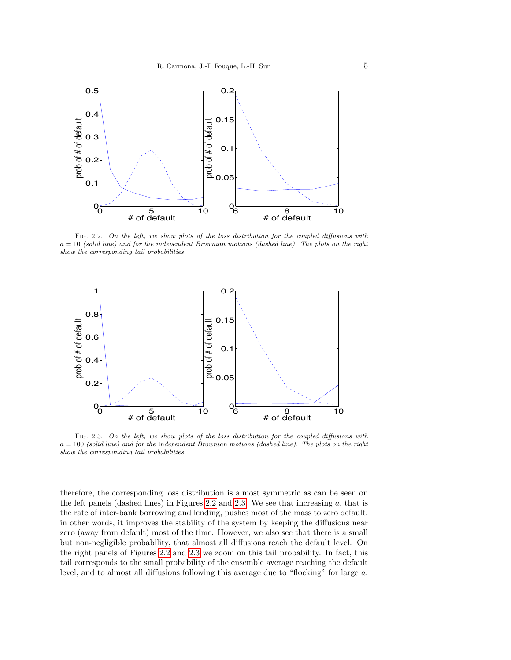

<span id="page-4-0"></span>Fig. 2.2. On the left, we show plots of the loss distribution for the coupled diffusions with  $a = 10$  (solid line) and for the independent Brownian motions (dashed line). The plots on the right show the corresponding tail probabilities.



<span id="page-4-1"></span>FIG. 2.3. On the left, we show plots of the loss distribution for the coupled diffusions with  $a = 100$  (solid line) and for the independent Brownian motions (dashed line). The plots on the right show the corresponding tail probabilities.

therefore, the corresponding loss distribution is almost symmetric as can be seen on the left panels (dashed lines) in Figures [2.2](#page-4-0) and [2.3.](#page-4-1) We see that increasing  $a$ , that is the rate of inter-bank borrowing and lending, pushes most of the mass to zero default, in other words, it improves the stability of the system by keeping the diffusions near zero (away from default) most of the time. However, we also see that there is a small but non-negligible probability, that almost all diffusions reach the default level. On the right panels of Figures [2.2](#page-4-0) and [2.3](#page-4-1) we zoom on this tail probability. In fact, this tail corresponds to the small probability of the ensemble average reaching the default level, and to almost all diffusions following this average due to "flocking" for large a.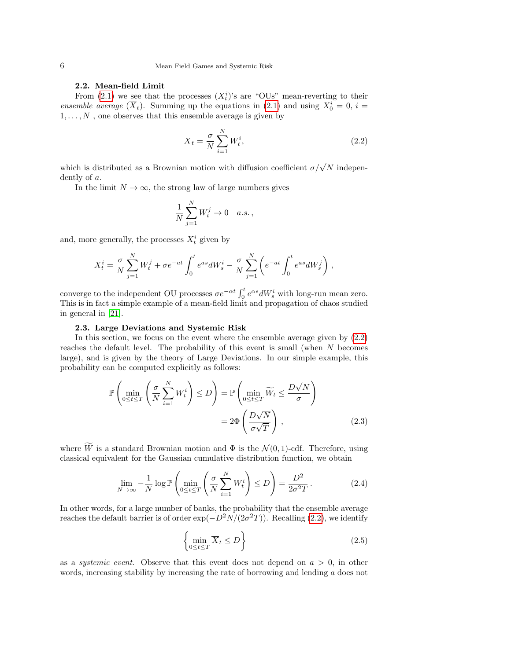## 2.2. Mean-field Limit

From [\(2.1\)](#page-3-0) we see that the processes  $(X_t^i)$ 's are "OUs" mean-reverting to their ensemble average  $(\overline{X}_t)$ . Summing up the equations in [\(2.1\)](#page-3-0) and using  $X_0^i = 0$ ,  $i =$  $1, \ldots, N$ , one observes that this ensemble average is given by

<span id="page-5-0"></span>
$$
\overline{X}_t = \frac{\sigma}{N} \sum_{i=1}^N W_t^i,
$$
\n(2.2)

which is distributed as a Brownian motion with diffusion coefficient  $\sigma/\sqrt{N}$  independently of a.

In the limit  $N \to \infty$ , the strong law of large numbers gives

$$
\frac{1}{N} \sum_{j=1}^{N} W_t^j \to 0 \quad a.s.,
$$

and, more generally, the processes  $X_t^i$  given by

$$
X_t^i = \frac{\sigma}{N} \sum_{j=1}^N W_t^j + \sigma e^{-at} \int_0^t e^{as} dW_s^i - \frac{\sigma}{N} \sum_{j=1}^N \left( e^{-at} \int_0^t e^{as} dW_s^j \right) ,
$$

converge to the independent OU processes  $\sigma e^{-\alpha t} \int_0^t e^{\alpha s} dW_s^i$  with long-run mean zero. This is in fact a simple example of a mean-field limit and propagation of chaos studied in general in [\[21\]](#page-22-1).

### 2.3. Large Deviations and Systemic Risk

<span id="page-5-3"></span>In this section, we focus on the event where the ensemble average given by [\(2.2\)](#page-5-0) reaches the default level. The probability of this event is small (when N becomes large), and is given by the theory of Large Deviations. In our simple example, this probability can be computed explicitly as follows:

<span id="page-5-1"></span>
$$
\mathbb{P}\left(\min_{0\leq t\leq T}\left(\frac{\sigma}{N}\sum_{i=1}^{N}W_t^i\right)\leq D\right) = \mathbb{P}\left(\min_{0\leq t\leq T}\widetilde{W}_t\leq \frac{D\sqrt{N}}{\sigma}\right)
$$

$$
= 2\Phi\left(\frac{D\sqrt{N}}{\sigma\sqrt{T}}\right),\tag{2.3}
$$

where  $\widetilde{W}$  is a standard Brownian motion and  $\Phi$  is the  $\mathcal{N}(0, 1)$ -cdf. Therefore, using classical equivalent for the Gaussian cumulative distribution function, we obtain

$$
\lim_{N \to \infty} -\frac{1}{N} \log \mathbb{P}\left(\min_{0 \le t \le T} \left(\frac{\sigma}{N} \sum_{i=1}^{N} W_t^i\right) \le D\right) = \frac{D^2}{2\sigma^2 T}.
$$
\n(2.4)

In other words, for a large number of banks, the probability that the ensemble average reaches the default barrier is of order  $\exp(-D^2N/(2\sigma^2T))$ . Recalling [\(2.2\)](#page-5-0), we identify

<span id="page-5-2"></span>
$$
\left\{ \min_{0 \le t \le T} \overline{X}_t \le D \right\} \tag{2.5}
$$

as a *systemic event*. Observe that this event does not depend on  $a > 0$ , in other words, increasing stability by increasing the rate of borrowing and lending a does not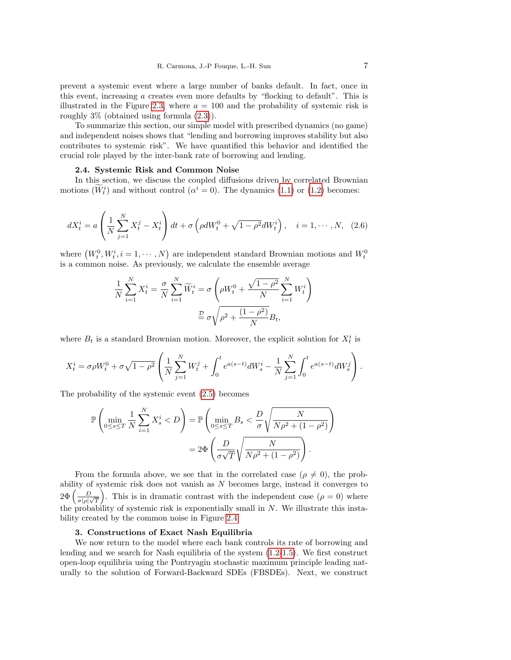prevent a systemic event where a large number of banks default. In fact, once in this event, increasing a creates even more defaults by "flocking to default". This is illustrated in the Figure [2.3,](#page-4-1) where  $a = 100$  and the probability of systemic risk is roughly 3% (obtained using formula [\(2.3\)](#page-5-1)).

To summarize this section, our simple model with prescribed dynamics (no game) and independent noises shows that "lending and borrowing improves stability but also contributes to systemic risk". We have quantified this behavior and identified the crucial role played by the inter-bank rate of borrowing and lending.

## 2.4. Systemic Risk and Common Noise

<span id="page-6-1"></span>In this section, we discuss the coupled diffusions driven by correlated Brownian motions  $(W_t^i)$  and without control  $(\alpha^i = 0)$ . The dynamics [\(1.1\)](#page-1-2) or [\(1.2\)](#page-1-0) becomes:

<span id="page-6-2"></span>
$$
dX_t^i = a\left(\frac{1}{N}\sum_{j=1}^N X_t^j - X_t^i\right)dt + \sigma\left(\rho dW_t^0 + \sqrt{1-\rho^2}dW_t^i\right), \quad i = 1, \cdots, N, \quad (2.6)
$$

where  $(W_t^0, W_t^i, i = 1, \dots, N)$  are independent standard Brownian motions and  $W_t^0$ is a common noise. As previously, we calculate the ensemble average

$$
\frac{1}{N} \sum_{i=1}^{N} X_t^i = \frac{\sigma}{N} \sum_{i=1}^{N} \widetilde{W}_t^i = \sigma \left( \rho W_t^0 + \frac{\sqrt{1 - \rho^2}}{N} \sum_{i=1}^{N} W_t^i \right)
$$

$$
\stackrel{\mathcal{D}}{=} \sigma \sqrt{\rho^2 + \frac{(1 - \rho^2)}{N}} B_t,
$$

where  $B_t$  is a standard Brownian motion. Moreover, the explicit solution for  $X_t^i$  is

$$
X_t^i = \sigma \rho W_t^0 + \sigma \sqrt{1 - \rho^2} \left( \frac{1}{N} \sum_{j=1}^N W_t^j + \int_0^t e^{a(s-t)} dW_s^i - \frac{1}{N} \sum_{j=1}^N \int_0^t e^{a(s-t)} dW_s^j \right).
$$

The probability of the systemic event [\(2.5\)](#page-5-2) becomes

$$
\mathbb{P}\left(\min_{0\leq s\leq T} \frac{1}{N} \sum_{i=1}^{N} X_s^i < D\right) = \mathbb{P}\left(\min_{0\leq s\leq T} B_s < \frac{D}{\sigma} \sqrt{\frac{N}{N\rho^2 + (1 - \rho^2)}}\right) = 2\Phi\left(\frac{D}{\sigma\sqrt{T}}\sqrt{\frac{N}{N\rho^2 + (1 - \rho^2)}}\right).
$$

From the formula above, we see that in the correlated case ( $\rho \neq 0$ ), the probability of systemic risk does not vanish as N becomes large, instead it converges to  $2\Phi\left(\frac{D}{\Box\Box}$  $\left(\frac{D}{\sigma|\rho|\sqrt{T}}\right)$ . This is in dramatic contrast with the independent case  $(\rho = 0)$  where the probability of systemic risk is exponentially small in  $N$ . We illustrate this instability created by the common noise in Figure [2.4.](#page-7-0)

### 3. Constructions of Exact Nash Equilibria

<span id="page-6-0"></span>We now return to the model where each bank controls its rate of borrowing and lending and we search for Nash equilibria of the system [\(1.2-](#page-1-0)[1.5\)](#page-1-3). We first construct open-loop equilibria using the Pontryagin stochastic maximum principle leading naturally to the solution of Forward-Backward SDEs (FBSDEs). Next, we construct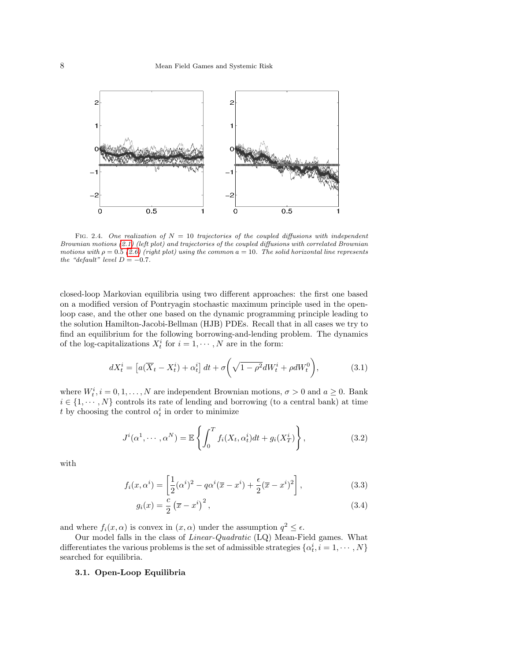

<span id="page-7-0"></span>FIG. 2.4. One realization of  $N = 10$  trajectories of the coupled diffusions with independent Brownian motions [\(2.1\)](#page-3-0) (left plot) and trajectories of the coupled diffusions with correlated Brownian motions with  $\rho = 0.5$  [\(2.6\)](#page-6-2) (right plot) using the common  $a = 10$ . The solid horizontal line represents the "default" level  $D = -0.7$ .

closed-loop Markovian equilibria using two different approaches: the first one based on a modified version of Pontryagin stochastic maximum principle used in the openloop case, and the other one based on the dynamic programming principle leading to the solution Hamilton-Jacobi-Bellman (HJB) PDEs. Recall that in all cases we try to find an equilibrium for the following borrowing-and-lending problem. The dynamics of the log-capitalizations  $X_t^i$  for  $i = 1, \dots, N$  are in the form:

<span id="page-7-1"></span>
$$
dX_t^i = \left[ a(\overline{X}_t - X_t^i) + \alpha_t^i \right] dt + \sigma \left( \sqrt{1 - \rho^2} dW_t^i + \rho dW_t^0 \right), \tag{3.1}
$$

where  $W_t^i$ ,  $i = 0, 1, ..., N$  are independent Brownian motions,  $\sigma > 0$  and  $a \geq 0$ . Bank  $i \in \{1, \dots, N\}$  controls its rate of lending and borrowing (to a central bank) at time t by choosing the control  $\alpha_t^i$  in order to minimize

$$
J^{i}(\alpha^{1},\cdots,\alpha^{N}) = \mathbb{E}\left\{\int_{0}^{T} f_{i}(X_{t},\alpha_{t}^{i})dt + g_{i}(X_{T}^{i})\right\},
$$
\n(3.2)

with

<span id="page-7-2"></span>
$$
f_i(x, \alpha^i) = \left[\frac{1}{2}(\alpha^i)^2 - q\alpha^i(\overline{x} - x^i) + \frac{\epsilon}{2}(\overline{x} - x^i)^2\right],
$$
\n(3.3)

$$
g_i(x) = \frac{c}{2} \left(\overline{x} - x^i\right)^2,\tag{3.4}
$$

and where  $f_i(x, \alpha)$  is convex in  $(x, \alpha)$  under the assumption  $q^2 \leq \epsilon$ .

Our model falls in the class of Linear-Quadratic (LQ) Mean-Field games. What differentiates the various problems is the set of admissible strategies  $\{\alpha_t^i, i = 1, \cdots, N\}$ searched for equilibria.

# <span id="page-7-3"></span>3.1. Open-Loop Equilibria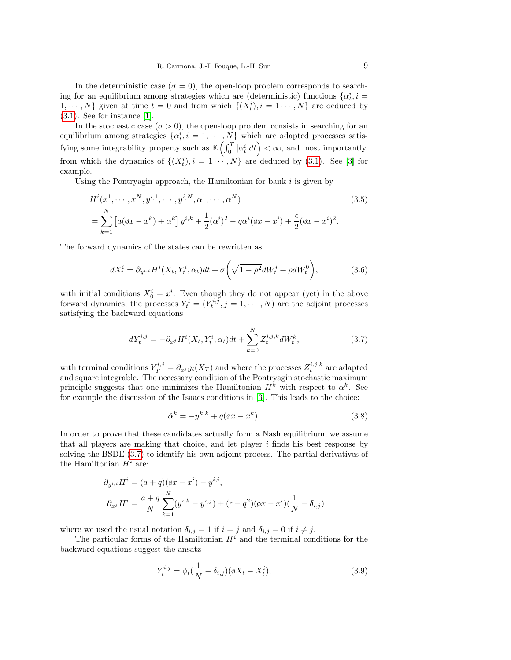In the deterministic case ( $\sigma = 0$ ), the open-loop problem corresponds to searching for an equilibrium among strategies which are (deterministic) functions  $\{\alpha_t^i, i =$  $1, \dots, N$  given at time  $t = 0$  and from which  $\{(X_t^i), i = 1 \dots, N\}$  are deduced by  $(3.1)$ . See for instance [\[1\]](#page-21-16).

In the stochastic case ( $\sigma > 0$ ), the open-loop problem consists in searching for an equilibrium among strategies  $\{\alpha_t^i, i = 1, \cdots, N\}$  which are adapted processes satisfying some integrability property such as  $\mathbb{E}\left(\int_0^T |\alpha_t^i| dt\right) < \infty$ , and most importantly, from which the dynamics of  $\{(X_t^i), i = 1 \cdots, N\}$  are deduced by [\(3.1\)](#page-7-1). See [\[3\]](#page-21-17) for example.

Using the Pontryagin approach, the Hamiltonian for bank  $i$  is given by

$$
H^{i}(x^{1}, \cdots, x^{N}, y^{i,1}, \cdots, y^{i,N}, \alpha^{1}, \cdots, \alpha^{N})
$$
\n
$$
= \sum_{k=1}^{N} \left[ a(\alpha x - x^{k}) + \alpha^{k} \right] y^{i,k} + \frac{1}{2} (\alpha^{i})^{2} - q\alpha^{i}(\alpha x - x^{i}) + \frac{\epsilon}{2}(\alpha x - x^{i})^{2}.
$$
\n(3.5)

The forward dynamics of the states can be rewritten as:

<span id="page-8-1"></span>
$$
dX_t^i = \partial_{y^{i,i}} H^i(X_t, Y_t^i, \alpha_t) dt + \sigma \left( \sqrt{1 - \rho^2} dW_t^i + \rho dW_t^0 \right), \tag{3.6}
$$

with initial conditions  $X_0^i = x^i$ . Even though they do not appear (yet) in the above forward dynamics, the processes  $Y_t^i = (Y_t^{i,j}, j = 1, \dots, N)$  are the adjoint processes satisfying the backward equations

<span id="page-8-0"></span>
$$
dY_t^{i,j} = -\partial_{x^j} H^i(X_t, Y_t^i, \alpha_t) dt + \sum_{k=0}^N Z_t^{i,j,k} dW_t^k,
$$
\n(3.7)

with terminal conditions  $Y_T^{i,j} = \partial_{x^j} g_i(X_T)$  and where the processes  $Z_t^{i,j,k}$  are adapted and square integrable. The necessary condition of the Pontryagin stochastic maximum principle suggests that one minimizes the Hamiltonian  $H^k$  with respect to  $\alpha^k$ . See for example the discussion of the Isaacs conditions in [\[3\]](#page-21-17). This leads to the choice:

<span id="page-8-3"></span>
$$
\hat{\alpha}^k = -y^{k,k} + q(\phi x - x^k). \tag{3.8}
$$

In order to prove that these candidates actually form a Nash equilibrium, we assume that all players are making that choice, and let player  $i$  finds his best response by solving the BSDE [\(3.7\)](#page-8-0) to identify his own adjoint process. The partial derivatives of the Hamiltonian  $H^i$  are:

$$
\partial_{y^{i,i}} H^i = (a+q)(\phi x - x^i) - y^{i,i},
$$
  

$$
\partial_{x^j} H^i = \frac{a+q}{N} \sum_{k=1}^N (y^{i,k} - y^{i,j}) + (\epsilon - q^2)(\phi x - x^i)(\frac{1}{N} - \delta_{i,j})
$$

where we used the usual notation  $\delta_{i,j} = 1$  if  $i = j$  and  $\delta_{i,j} = 0$  if  $i \neq j$ .

The particular forms of the Hamiltonian  $H<sup>i</sup>$  and the terminal conditions for the backward equations suggest the ansatz

<span id="page-8-2"></span>
$$
Y_t^{i,j} = \phi_t(\frac{1}{N} - \delta_{i,j})(\phi X_t - X_t^i),
$$
\n(3.9)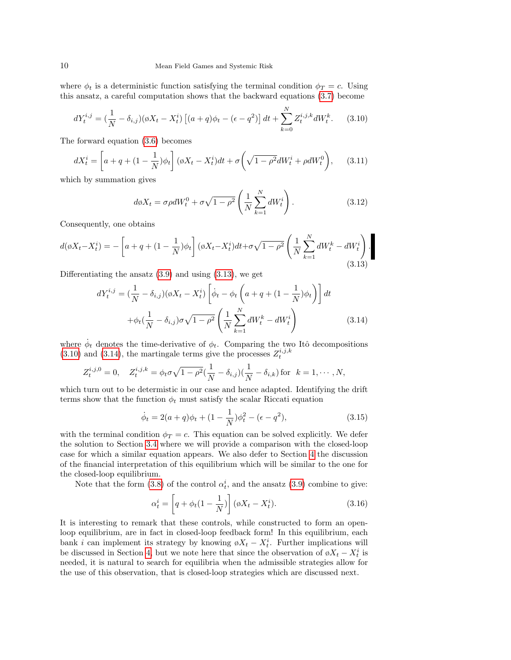where  $\phi_t$  is a deterministic function satisfying the terminal condition  $\phi_T = c$ . Using this ansatz, a careful computation shows that the backward equations [\(3.7\)](#page-8-0) become

<span id="page-9-1"></span>
$$
dY_t^{i,j} = \left(\frac{1}{N} - \delta_{i,j}\right)(\emptyset X_t - X_t^i) \left[ (a+q)\phi_t - (\epsilon - q^2) \right] dt + \sum_{k=0}^N Z_t^{i,j,k} dW_t^k.
$$
 (3.10)

The forward equation [\(3.6\)](#page-8-1) becomes

$$
dX_t^i = \left[a + q + (1 - \frac{1}{N})\phi_t\right](\phi X_t - X_t^i)dt + \sigma\left(\sqrt{1 - \rho^2}dW_t^i + \rho dW_t^0\right),\tag{3.11}
$$

which by summation gives

$$
d\phi X_t = \sigma \rho dW_t^0 + \sigma \sqrt{1 - \rho^2} \left( \frac{1}{N} \sum_{k=1}^N dW_t^i \right). \tag{3.12}
$$

Consequently, one obtains

<span id="page-9-0"></span>
$$
d(\phi X_t - X_t^i) = -\left[a + q + (1 - \frac{1}{N})\phi_t\right](\phi X_t - X_t^i)dt + \sigma\sqrt{1 - \rho^2} \left(\frac{1}{N} \sum_{k=1}^N dW_t^k - dW_t^i\right).
$$
\n(3.13)

Differentiating the ansatz  $(3.9)$  and using  $(3.13)$ , we get

<span id="page-9-2"></span>
$$
dY_t^{i,j} = \left(\frac{1}{N} - \delta_{i,j}\right)(\emptyset X_t - X_t^i) \left[\dot{\phi}_t - \phi_t \left(a + q + (1 - \frac{1}{N})\phi_t\right)\right] dt
$$

$$
+ \phi_t \left(\frac{1}{N} - \delta_{i,j}\right) \sigma \sqrt{1 - \rho^2} \left(\frac{1}{N} \sum_{k=1}^N dW_t^k - dW_t^i\right)
$$
(3.14)

where  $\dot{\phi}_t$  denotes the time-derivative of  $\phi_t$ . Comparing the two Itô decompositions  $(3.10)$  and  $(3.14)$ , the martingale terms give the processes  $Z_t^{i,j,k}$ 

$$
Z_t^{i,j,0} = 0, \quad Z_t^{i,j,k} = \phi_t \sigma \sqrt{1 - \rho^2} (\frac{1}{N} - \delta_{i,j}) (\frac{1}{N} - \delta_{i,k})
$$
 for  $k = 1, \dots, N$ ,

which turn out to be determistic in our case and hence adapted. Identifying the drift terms show that the function  $\phi_t$  must satisfy the scalar Riccati equation

<span id="page-9-3"></span>
$$
\dot{\phi}_t = 2(a+q)\phi_t + (1 - \frac{1}{N})\phi_t^2 - (\epsilon - q^2),
$$
\n(3.15)

with the terminal condition  $\phi_T = c$ . This equation can be solved explicitly. We defer the solution to Section [3.4](#page-13-0) where we will provide a comparison with the closed-loop case for which a similar equation appears. We also defer to Section [4](#page-15-0) the discussion of the financial interpretation of this equilibrium which will be similar to the one for the closed-loop equilibrium.

Note that the form [\(3.8\)](#page-8-3) of the control  $\alpha_t^i$ , and the ansatz [\(3.9\)](#page-8-2) combine to give:

$$
\alpha_t^i = \left[ q + \phi_t (1 - \frac{1}{N}) \right] (\phi X_t - X_t^i). \tag{3.16}
$$

It is interesting to remark that these controls, while constructed to form an openloop equilibrium, are in fact in closed-loop feedback form! In this equilibrium, each bank i can implement its strategy by knowing  $\phi X_t - X_t^i$ . Further implications will be discussed in Section [4,](#page-15-0) but we note here that since the observation of  $\phi X_t - X_t^i$  is needed, it is natural to search for equilibria when the admissible strategies allow for the use of this observation, that is closed-loop strategies which are discussed next.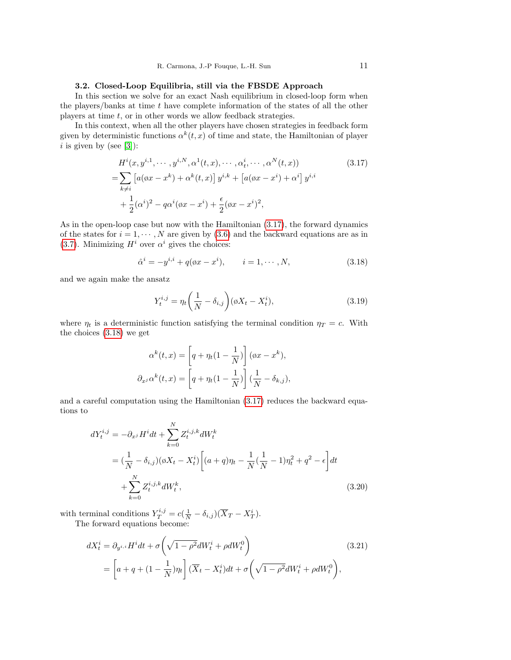## 3.2. Closed-Loop Equilibria, still via the FBSDE Approach

<span id="page-10-5"></span>In this section we solve for an exact Nash equilibrium in closed-loop form when the players/banks at time  $t$  have complete information of the states of all the other players at time  $t$ , or in other words we allow feedback strategies.

In this context, when all the other players have chosen strategies in feedback form given by deterministic functions  $\alpha^k(t, x)$  of time and state, the Hamiltonian of player  $i$  is given by (see [\[3\]](#page-21-17)):

$$
H^{i}(x, y^{i,1}, \cdots, y^{i,N}, \alpha^{1}(t, x), \cdots, \alpha_{t}^{i}, \cdots, \alpha^{N}(t, x))
$$
\n
$$
= \sum_{k \neq i} \left[ a(\alpha x - x^{k}) + \alpha^{k}(t, x) \right] y^{i,k} + \left[ a(\alpha x - x^{i}) + \alpha^{i} \right] y^{i,i}
$$
\n
$$
+ \frac{1}{2} (\alpha^{i})^{2} - q\alpha^{i}(\alpha x - x^{i}) + \frac{\epsilon}{2} (\alpha x - x^{i})^{2},
$$
\n(3.17)

As in the open-loop case but now with the Hamiltonian [\(3.17\)](#page-10-0), the forward dynamics of the states for  $i = 1, \dots, N$  are given by [\(3.6\)](#page-8-1) and the backward equations are as in [\(3.7\)](#page-8-0). Minimizing  $H^i$  over  $\alpha^i$  gives the choices:

<span id="page-10-1"></span><span id="page-10-0"></span>
$$
\hat{\alpha}^{i} = -y^{i,i} + q(\phi x - x^{i}), \qquad i = 1, \cdots, N,
$$
\n(3.18)

and we again make the ansatz

<span id="page-10-2"></span>
$$
Y_t^{i,j} = \eta_t \left(\frac{1}{N} - \delta_{i,j}\right) (\phi X_t - X_t^i),\tag{3.19}
$$

where  $\eta_t$  is a deterministic function satisfying the terminal condition  $\eta_T = c$ . With the choices [\(3.18\)](#page-10-1) we get

$$
\alpha^{k}(t,x) = \left[q + \eta_{t}(1 - \frac{1}{N})\right](\alpha x - x^{k}),
$$

$$
\partial_{x^{j}} \alpha^{k}(t,x) = \left[q + \eta_{t}(1 - \frac{1}{N})\right](\frac{1}{N} - \delta_{k,j}),
$$

and a careful computation using the Hamiltonian [\(3.17\)](#page-10-0) reduces the backward equations to

<span id="page-10-4"></span>
$$
dY_t^{i,j} = -\partial_{x^j} H^i dt + \sum_{k=0}^N Z_t^{i,j,k} dW_t^k
$$
  
=  $(\frac{1}{N} - \delta_{i,j})(\emptyset X_t - X_t^i) \left[ (a+q)\eta_t - \frac{1}{N}(\frac{1}{N} - 1)\eta_t^2 + q^2 - \epsilon \right] dt$   
+  $\sum_{k=0}^N Z_t^{i,j,k} dW_t^k,$  (3.20)

with terminal conditions  $Y_T^{i,j} = c(\frac{1}{N} - \delta_{i,j})(\overline{X}_T - X_T^i)$ . The forward equations become:

<span id="page-10-3"></span>
$$
dX_t^i = \partial_{y^{i,i}} H^i dt + \sigma \left( \sqrt{1 - \rho^2} dW_t^i + \rho dW_t^0 \right)
$$
(3.21)  

$$
= \left[ a + q + (1 - \frac{1}{N}) \eta_t \right] (\overline{X}_t - X_t^i) dt + \sigma \left( \sqrt{1 - \rho^2} dW_t^i + \rho dW_t^0 \right),
$$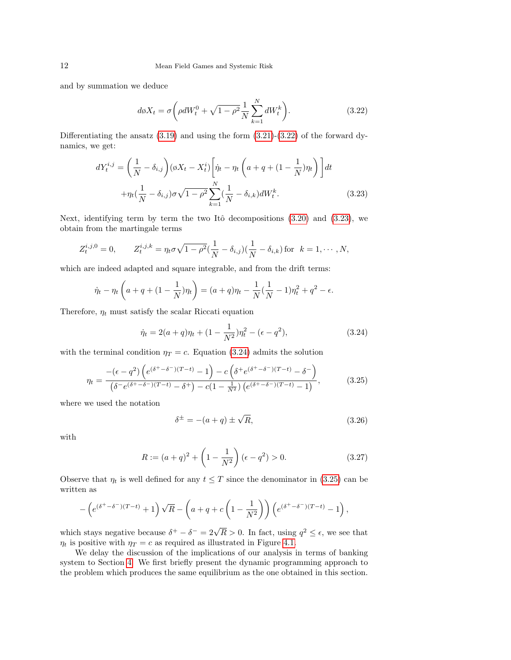and by summation we deduce

<span id="page-11-0"></span>
$$
d\phi X_t = \sigma \left( \rho dW_t^0 + \sqrt{1 - \rho^2} \frac{1}{N} \sum_{k=1}^N dW_t^k \right).
$$
 (3.22)

Differentiating the ansatz  $(3.19)$  and using the form  $(3.21)-(3.22)$  $(3.21)-(3.22)$  $(3.21)-(3.22)$  of the forward dynamics, we get:

<span id="page-11-1"></span>
$$
dY_t^{i,j} = \left(\frac{1}{N} - \delta_{i,j}\right) (\emptyset X_t - X_t^i) \left[\dot{\eta}_t - \eta_t \left(a + q + (1 - \frac{1}{N})\eta_t\right)\right] dt
$$

$$
+ \eta_t (\frac{1}{N} - \delta_{i,j}) \sigma \sqrt{1 - \rho^2} \sum_{k=1}^N (\frac{1}{N} - \delta_{i,k}) dW_t^k.
$$
(3.23)

Next, identifying term by term the two Itô decompositions  $(3.20)$  and  $(3.23)$ , we obtain from the martingale terms

$$
Z_t^{i,j,0} = 0, \qquad Z_t^{i,j,k} = \eta_t \sigma \sqrt{1 - \rho^2} (\frac{1}{N} - \delta_{i,j}) (\frac{1}{N} - \delta_{i,k})
$$
 for  $k = 1, \dots, N$ ,

which are indeed adapted and square integrable, and from the drift terms:

$$
\dot{\eta}_t - \eta_t \left( a + q + (1 - \frac{1}{N}) \eta_t \right) = (a + q) \eta_t - \frac{1}{N} (\frac{1}{N} - 1) \eta_t^2 + q^2 - \epsilon.
$$

Therefore,  $\eta_t$  must satisfy the scalar Riccati equation

<span id="page-11-2"></span>
$$
\dot{\eta}_t = 2(a+q)\eta_t + (1 - \frac{1}{N^2})\eta_t^2 - (\epsilon - q^2), \tag{3.24}
$$

with the terminal condition  $\eta_T = c$ . Equation [\(3.24\)](#page-11-2) admits the solution

<span id="page-11-3"></span>
$$
\eta_t = \frac{- (\epsilon - q^2) \left( e^{(\delta^+ - \delta^-)(T - t)} - 1 \right) - c \left( \delta^+ e^{(\delta^+ - \delta^-)(T - t)} - \delta^- \right)}{(\delta^- e^{(\delta^+ - \delta^-)(T - t)} - \delta^+) - c(1 - \frac{1}{N^2}) \left( e^{(\delta^+ - \delta^-)(T - t)} - 1 \right)},
$$
(3.25)

where we used the notation

<span id="page-11-4"></span>
$$
\delta^{\pm} = -(a+q) \pm \sqrt{R},\tag{3.26}
$$

with

<span id="page-11-5"></span>
$$
R := (a+q)^2 + \left(1 - \frac{1}{N^2}\right)(\epsilon - q^2) > 0.
$$
 (3.27)

Observe that  $\eta_t$  is well defined for any  $t \leq T$  since the denominator in [\(3.25\)](#page-11-3) can be written as

$$
-\left(e^{(\delta^+-\delta^-)(T-t)}+1\right)\sqrt{R}-\left(a+q+c\left(1-\frac{1}{N^2}\right)\right)\left(e^{(\delta^+-\delta^-)(T-t)}-1\right),
$$

which stays negative because  $\delta^+ - \delta^- = 2\sqrt{R} > 0$ . In fact, using  $q^2 \leq \epsilon$ , we see that  $\eta_t$  is positive with  $\eta_T = c$  as required as illustrated in Figure [4.1.](#page-3-1)

We delay the discussion of the implications of our analysis in terms of banking system to Section [4.](#page-15-0) We first briefly present the dynamic programming approach to the problem which produces the same equilibrium as the one obtained in this section.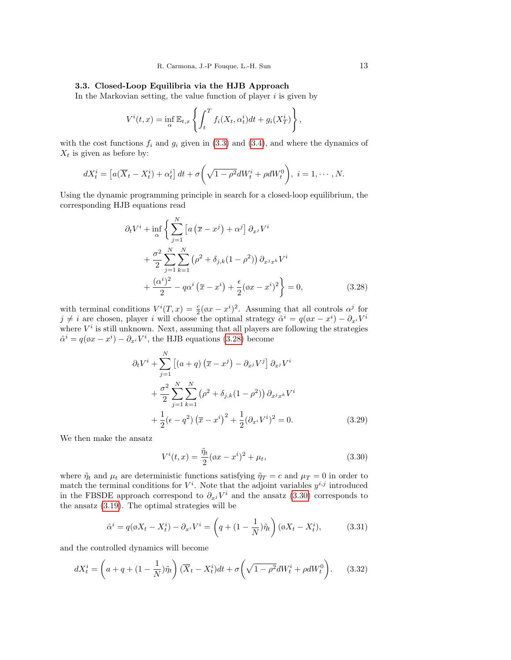## 3.3. Closed-Loop Equilibria via the HJB Approach

In the Markovian setting, the value function of player  $i$  is given by

$$
V^{i}(t,x) = \inf_{\alpha} \mathbb{E}_{t,x} \left\{ \int_{t}^{T} f_{i}(X_{t}, \alpha_{t}^{i}) dt + g_{i}(X_{T}^{i}) \right\},\,
$$

with the cost functions  $f_i$  and  $g_i$  given in [\(3.3\)](#page-7-2) and [\(3.4\)](#page-7-2), and where the dynamics of  $X_t$  is given as before by:

$$
dX_t^i = \left[a(\overline{X}_t - X_t^i) + \alpha_t^i\right]dt + \sigma\left(\sqrt{1-\rho^2}dW_t^i + \rho dW_t^0\right), \ i = 1, \cdots, N.
$$

Using the dynamic programming principle in search for a closed-loop equilibrium, the corresponding HJB equations read

<span id="page-12-0"></span>
$$
\partial_t V^i + \inf_{\alpha} \left\{ \sum_{j=1}^N \left[ a \left( \overline{x} - x^j \right) + \alpha^j \right] \partial_{x^j} V^i \right.\n+ \frac{\sigma^2}{2} \sum_{j=1}^N \sum_{k=1}^N \left( \rho^2 + \delta_{j,k} (1 - \rho^2) \right) \partial_{x^j x^k} V^i \n+ \frac{(\alpha^i)^2}{2} - q \alpha^i \left( \overline{x} - x^i \right) + \frac{\epsilon}{2} (\phi x - x^i)^2 \right\} = 0,
$$
\n(3.28)

with terminal conditions  $V^{i}(T, x) = \frac{c}{2}(\phi x - x^{i})^{2}$ . Assuming that all controls  $\alpha^{j}$  for  $j \neq i$  are chosen, player i will choose the optimal strategy  $\hat{\alpha}^i = q(\phi x - x^i) - \partial_{x^i} V^i$ where  $V^i$  is still unknown. Next, assuming that all players are following the strategies  $\hat{\alpha}^i = q(\phi x - x^i) - \partial_{x^i} V^i$ , the HJB equations [\(3.28\)](#page-12-0) become

<span id="page-12-2"></span>
$$
\partial_t V^i + \sum_{j=1}^N \left[ (a+q) \left( \overline{x} - x^j \right) - \partial_{x^j} V^j \right] \partial_{x^j} V^i + \frac{\sigma^2}{2} \sum_{j=1}^N \sum_{k=1}^N \left( \rho^2 + \delta_{j,k} (1 - \rho^2) \right) \partial_{x^j x^k} V^i + \frac{1}{2} (\epsilon - q^2) \left( \overline{x} - x^i \right)^2 + \frac{1}{2} (\partial_{x^i} V^i)^2 = 0.
$$
 (3.29)

We then make the ansatz

<span id="page-12-1"></span>
$$
V^{i}(t,x) = \frac{\tilde{\eta}_{t}}{2}(\omega x - x^{i})^{2} + \mu_{t},
$$
\n(3.30)

where  $\tilde{\eta}_t$  and  $\mu_t$  are deterministic functions satisfying  $\tilde{\eta}_T = c$  and  $\mu_T = 0$  in order to match the terminal conditions for  $V^i$ . Note that the adjoint variables  $y^{i,j}$  introduced in the FBSDE approach correspond to  $\partial_{x^j} V^i$  and the ansatz [\(3.30\)](#page-12-1) corresponds to the ansatz [\(3.19\)](#page-10-2). The optimal strategies will be

<span id="page-12-3"></span>
$$
\hat{\alpha}^i = q(\phi X_t - X_t^i) - \partial_{x^i} V^i = \left(q + (1 - \frac{1}{N})\tilde{\eta}_t\right)(\phi X_t - X_t^i),\tag{3.31}
$$

and the controlled dynamics will become

<span id="page-12-4"></span>
$$
dX_t^i = \left(a + q + (1 - \frac{1}{N})\tilde{\eta}_t\right)(\overline{X}_t - X_t^i)dt + \sigma\left(\sqrt{1 - \rho^2}dW_t^i + \rho dW_t^0\right). \tag{3.32}
$$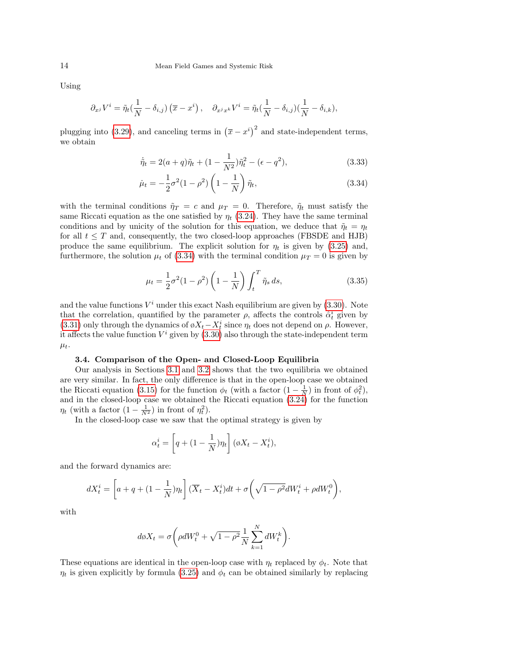Using

$$
\partial_{x^j} V^i = \tilde{\eta}_t \left(\frac{1}{N} - \delta_{i,j}\right) \left(\overline{x} - x^i\right), \quad \partial_{x^j x^k} V^i = \tilde{\eta}_t \left(\frac{1}{N} - \delta_{i,j}\right) \left(\frac{1}{N} - \delta_{i,k}\right),
$$

plugging into [\(3.29\)](#page-12-2), and canceling terms in  $(\bar{x} - x^i)^2$  and state-independent terms, we obtain

$$
\dot{\tilde{\eta}}_t = 2(a+q)\tilde{\eta}_t + (1 - \frac{1}{N^2})\tilde{\eta}_t^2 - (\epsilon - q^2),
$$
\n(3.33)

<span id="page-13-1"></span>
$$
\dot{\mu}_t = -\frac{1}{2}\sigma^2(1-\rho^2)\left(1-\frac{1}{N}\right)\tilde{\eta}_t,\tag{3.34}
$$

with the terminal conditions  $\tilde{\eta}_T = c$  and  $\mu_T = 0$ . Therefore,  $\tilde{\eta}_t$  must satisfy the same Riccati equation as the one satisfied by  $\eta_t$  [\(3.24\)](#page-11-2). They have the same terminal conditions and by unicity of the solution for this equation, we deduce that  $\tilde{\eta}_t = \eta_t$ for all  $t \leq T$  and, consequently, the two closed-loop approaches (FBSDE and HJB) produce the same equilibrium. The explicit solution for  $\eta_t$  is given by [\(3.25\)](#page-11-3) and, furthermore, the solution  $\mu_t$  of [\(3.34\)](#page-13-1) with the terminal condition  $\mu_T = 0$  is given by

$$
\mu_t = \frac{1}{2}\sigma^2 (1 - \rho^2) \left(1 - \frac{1}{N}\right) \int_t^T \tilde{\eta}_s ds,
$$
\n(3.35)

and the value functions  $V^i$  under this exact Nash equilibrium are given by  $(3.30)$ . Note that the correlation, quantified by the parameter  $\rho$ , affects the controls  $\hat{\alpha}_t^i$  given by [\(3.31\)](#page-12-3) only through the dynamics of  $\phi X_t - X_t^i$  since  $\eta_t$  does not depend on  $\rho$ . However, it affects the value function  $V^i$  given by  $(3.30)$  also through the state-independent term  $\mu_t$ .

#### 3.4. Comparison of the Open- and Closed-Loop Equilibria

<span id="page-13-0"></span>Our analysis in Sections [3.1](#page-7-3) and [3.2](#page-10-5) shows that the two equilibria we obtained are very similar. In fact, the only difference is that in the open-loop case we obtained the Riccati equation [\(3.15\)](#page-9-3) for the function  $\phi_t$  (with a factor  $(1 - \frac{1}{N})$  in front of  $\phi_t^2$ ), and in the closed-loop case we obtained the Riccati equation [\(3.24\)](#page-11-2) for the function  $\eta_t$  (with a factor  $(1 - \frac{1}{N^2})$  in front of  $\eta_t^2$ ).

In the closed-loop case we saw that the optimal strategy is given by

$$
\alpha_t^i = \left[ q + \left( 1 - \frac{1}{N} \right) \eta_t \right] (\phi X_t - X_t^i),
$$

and the forward dynamics are:

$$
dX_t^i = \left[a + q + (1 - \frac{1}{N})\eta_t\right](\overline{X}_t - X_t^i)dt + \sigma\left(\sqrt{1 - \rho^2}dW_t^i + \rho dW_t^0\right),
$$

with

$$
d\phi X_t = \sigma \bigg(\rho dW_t^0 + \sqrt{1-\rho^2} \frac{1}{N} \sum_{k=1}^N dW_t^k\bigg).
$$

These equations are identical in the open-loop case with  $\eta_t$  replaced by  $\phi_t$ . Note that  $\eta_t$  is given explicitly by formula [\(3.25\)](#page-11-3) and  $\phi_t$  can be obtained similarly by replacing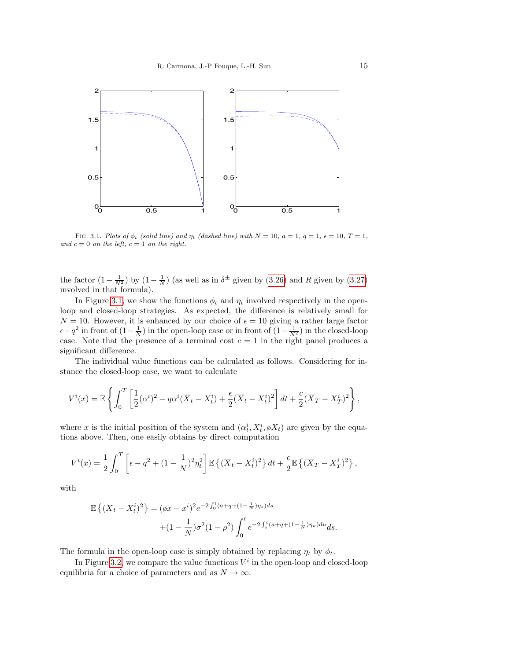

FIG. 3.1. Plots of  $\phi_t$  (solid line) and  $\eta_t$  (dashed line) with  $N = 10$ ,  $a = 1$ ,  $q = 1$ ,  $\epsilon = 10$ ,  $T = 1$ , and  $c = 0$  on the left,  $c = 1$  on the right.

the factor  $(1 - \frac{1}{N^2})$  by  $(1 - \frac{1}{N})$  (as well as in  $\delta^{\pm}$  given by  $(3.26)$  and R given by  $(3.27)$ involved in that formula).

In Figure [3.1,](#page-3-1) we show the functions  $\phi_t$  and  $\eta_t$  involved respectively in the openloop and closed-loop strategies. As expected, the difference is relatively small for  $N = 10$ . However, it is enhanced by our choice of  $\epsilon = 10$  giving a rather large factor  $\epsilon - q^2$  in front of  $(1 - \frac{1}{N})$  in the open-loop case or in front of  $(1 - \frac{1}{N^2})$  in the closed-loop case. Note that the presence of a terminal cost  $c = 1$  in the right panel produces a significant difference.

The individual value functions can be calculated as follows. Considering for instance the closed-loop case, we want to calculate

$$
V^{i}(x) = \mathbb{E}\left\{\int_{0}^{T}\left[\frac{1}{2}(\alpha^{i})^{2} - q\alpha^{i}(\overline{X}_{t} - X_{t}^{i}) + \frac{\epsilon}{2}(\overline{X}_{t} - X_{t}^{i})^{2}\right]dt + \frac{c}{2}(\overline{X}_{T} - X_{T}^{i})^{2}\right\},\,
$$

where x is the initial position of the system and  $(\alpha_t^i, X_t^i, \phi X_t)$  are given by the equations above. Then, one easily obtains by direct computation

$$
V^{i}(x) = \frac{1}{2} \int_{0}^{T} \left[ \epsilon - q^{2} + (1 - \frac{1}{N})^{2} \eta_{t}^{2} \right] \mathbb{E} \left\{ (\overline{X}_{t} - X_{t}^{i})^{2} \right\} dt + \frac{c}{2} \mathbb{E} \left\{ (\overline{X}_{T} - X_{T}^{i})^{2} \right\},
$$

with

$$
\mathbb{E}\left\{ (\overline{X}_t - X_t^i)^2 \right\} = (\phi x - x^i)^2 e^{-2\int_0^t (a + q + (1 - \frac{1}{N})\eta_s) ds}
$$

$$
+ (1 - \frac{1}{N})\sigma^2 (1 - \rho^2) \int_0^t e^{-2\int_s^t (a + q + (1 - \frac{1}{N})\eta_u) du} ds.
$$

The formula in the open-loop case is simply obtained by replacing  $\eta_t$  by  $\phi_t$ .

In Figure [3.2,](#page-4-0) we compare the value functions  $V^i$  in the open-loop and closed-loop equilibria for a choice of parameters and as  $N \to \infty$ .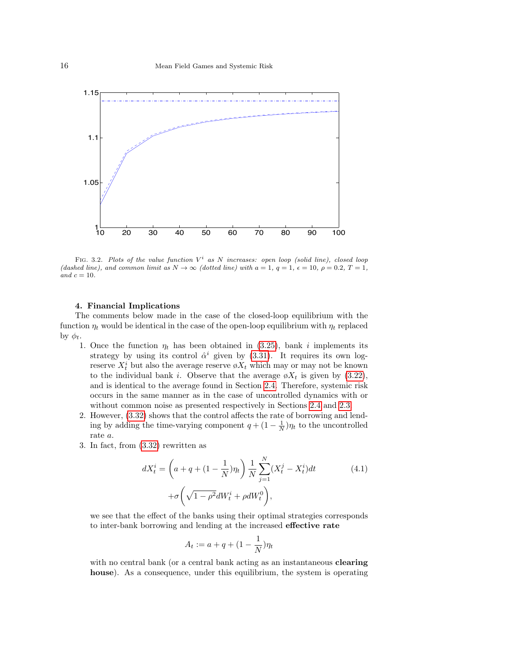

FIG. 3.2. Plots of the value function  $V^i$  as N increases: open loop (solid line), closed loop (dashed line), and common limit as  $N \to \infty$  (dotted line) with  $a = 1, q = 1, \epsilon = 10, \rho = 0.2, T = 1,$ and  $c = 10$ .

### 4. Financial Implications

<span id="page-15-0"></span>The comments below made in the case of the closed-loop equilibrium with the function  $\eta_t$  would be identical in the case of the open-loop equilibrium with  $\eta_t$  replaced by  $\phi_t$ .

- 1. Once the function  $\eta_t$  has been obtained in [\(3.25\)](#page-11-3), bank i implements its strategy by using its control  $\hat{\alpha}^i$  given by [\(3.31\)](#page-12-3). It requires its own logreserve $X_t^i$  but also the average reserve  $\mathfrak{g} X_t$  which may or may not be known to the individual bank i. Observe that the average  $\phi X_t$  is given by [\(3.22\)](#page-11-0), and is identical to the average found in Section [2.4.](#page-6-1) Therefore, systemic risk occurs in the same manner as in the case of uncontrolled dynamics with or without common noise as presented respectively in Sections [2.4](#page-6-1) and [2.3.](#page-5-3)
- 2. However, [\(3.32\)](#page-12-4) shows that the control affects the rate of borrowing and lending by adding the time-varying component  $q + (1 - \frac{1}{N})\eta_t$  to the uncontrolled rate a.
- 3. In fact, from [\(3.32\)](#page-12-4) rewritten as

$$
dX_t^i = \left(a + q + (1 - \frac{1}{N})\eta_t\right) \frac{1}{N} \sum_{j=1}^N (X_t^j - X_t^i) dt
$$
  
+  $\sigma \left(\sqrt{1 - \rho^2} dW_t^i + \rho dW_t^0\right),$  (4.1)

we see that the effect of the banks using their optimal strategies corresponds to inter-bank borrowing and lending at the increased effective rate

$$
A_t := a + q + (1 - \frac{1}{N})\eta_t
$$

with no central bank (or a central bank acting as an instantaneous **clearing** house). As a consequence, under this equilibrium, the system is operating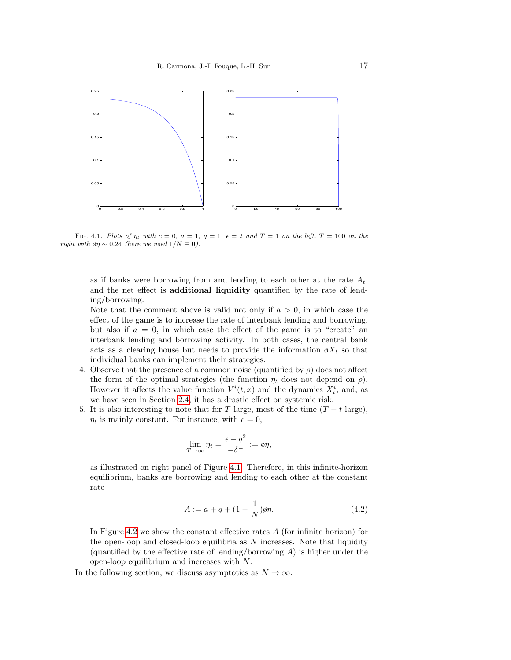

FIG. 4.1. Plots of  $\eta_t$  with  $c = 0$ ,  $a = 1$ ,  $q = 1$ ,  $\epsilon = 2$  and  $T = 1$  on the left,  $T = 100$  on the right with  $\varphi \eta \sim 0.24$  (here we used  $1/N \equiv 0$ ).

as if banks were borrowing from and lending to each other at the rate  $A_t$ , and the net effect is additional liquidity quantified by the rate of lending/borrowing.

Note that the comment above is valid not only if  $a > 0$ , in which case the effect of the game is to increase the rate of interbank lending and borrowing, but also if  $a = 0$ , in which case the effect of the game is to "create" an interbank lending and borrowing activity. In both cases, the central bank acts as a clearing house but needs to provide the information  $\phi X_t$  so that individual banks can implement their strategies.

- 4. Observe that the presence of a common noise (quantified by  $\rho$ ) does not affect the form of the optimal strategies (the function  $\eta_t$  does not depend on  $\rho$ ). However it affects the value function  $V^{i}(t, x)$  and the dynamics  $X^{i}_{t}$ , and, as we have seen in Section [2.4,](#page-6-1) it has a drastic effect on systemic risk.
- 5. It is also interesting to note that for T large, most of the time  $(T t \text{ large})$ ,  $\eta_t$  is mainly constant. For instance, with  $c = 0$ ,

$$
\lim_{T \to \infty} \eta_t = \frac{\epsilon - q^2}{-\delta^-} := \varnothing \eta,
$$

as illustrated on right panel of Figure [4.1.](#page-3-1) Therefore, in this infinite-horizon equilibrium, banks are borrowing and lending to each other at the constant rate

<span id="page-16-0"></span>
$$
A := a + q + (1 - \frac{1}{N})\emptyset \eta.
$$
 (4.2)

In Figure [4.2](#page-4-0) we show the constant effective rates  $A$  (for infinite horizon) for the open-loop and closed-loop equilibria as  $N$  increases. Note that liquidity (quantified by the effective rate of lending/borrowing  $A$ ) is higher under the open-loop equilibrium and increases with N.

In the following section, we discuss asymptotics as  $N \to \infty$ .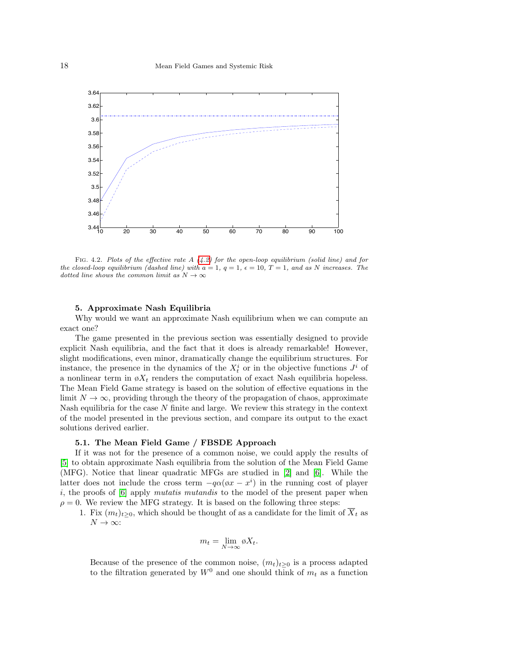

FIG. 4.2. Plots of the effective rate  $A(4.2)$  $A(4.2)$  for the open-loop equilibrium (solid line) and for the closed-loop equilibrium (dashed line) with  $a = 1, q = 1, \epsilon = 10, T = 1,$  and as N increases. The dotted line shows the common limit as  $N \to \infty$ 

### 5. Approximate Nash Equilibria

<span id="page-17-0"></span>Why would we want an approximate Nash equilibrium when we can compute an exact one?

The game presented in the previous section was essentially designed to provide explicit Nash equilibria, and the fact that it does is already remarkable! However, slight modifications, even minor, dramatically change the equilibrium structures. For instance, the presence in the dynamics of the  $X_t^i$  or in the objective functions  $J^i$  of a nonlinear term in  $\phi X_t$  renders the computation of exact Nash equilibria hopeless. The Mean Field Game strategy is based on the solution of effective equations in the limit  $N \to \infty$ , providing through the theory of the propagation of chaos, approximate Nash equilibria for the case  $N$  finite and large. We review this strategy in the context of the model presented in the previous section, and compare its output to the exact solutions derived earlier.

### 5.1. The Mean Field Game / FBSDE Approach

If it was not for the presence of a common noise, we could apply the results of [\[5\]](#page-21-13) to obtain approximate Nash equilibria from the solution of the Mean Field Game (MFG). Notice that linear quadratic MFGs are studied in [\[2\]](#page-21-12) and [\[6\]](#page-21-11). While the latter does not include the cross term  $-q\alpha(\phi x - x^i)$  in the running cost of player i, the proofs of  $[6]$  apply *mutatis mutandis* to the model of the present paper when  $\rho = 0$ . We review the MFG strategy. It is based on the following three steps:

1. Fix  $(m_t)_{t\geq0}$ , which should be thought of as a candidate for the limit of  $\overline{X}_t$  as  $N \to \infty$ :

$$
m_t = \lim_{N \to \infty} \emptyset X_t.
$$

Because of the presence of the common noise,  $(m_t)_{t\geq 0}$  is a process adapted to the filtration generated by  $W^0$  and one should think of  $m_t$  as a function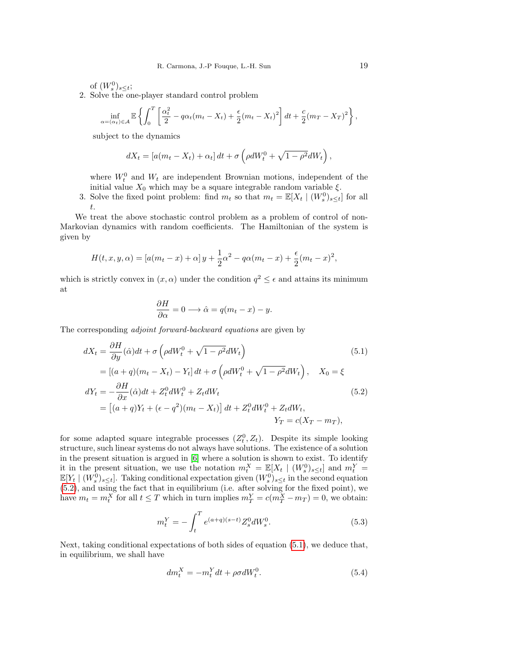of  $(W_s^0)_{s \leq t}$ ;

2. Solve the one-player standard control problem

$$
\inf_{\alpha = (\alpha_t) \in \mathcal{A}} \mathbb{E} \left\{ \int_0^T \left[ \frac{\alpha_t^2}{2} - q\alpha_t (m_t - X_t) + \frac{\epsilon}{2} (m_t - X_t)^2 \right] dt + \frac{c}{2} (m_T - X_T)^2 \right\},\,
$$

subject to the dynamics

$$
dX_t = [a(m_t - X_t) + \alpha_t] dt + \sigma \left(\rho dW_t^0 + \sqrt{1 - \rho^2} dW_t\right),
$$

where  $W_t^0$  and  $W_t$  are independent Brownian motions, independent of the initial value  $X_0$  which may be a square integrable random variable  $\xi$ .

3. Solve the fixed point problem: find  $m_t$  so that  $m_t = \mathbb{E}[X_t | (W_s^0)_{s \leq t}]$  for all t.

We treat the above stochastic control problem as a problem of control of non-Markovian dynamics with random coefficients. The Hamiltonian of the system is given by

$$
H(t, x, y, \alpha) = [a(m_t - x) + \alpha]y + \frac{1}{2}\alpha^2 - q\alpha(m_t - x) + \frac{\epsilon}{2}(m_t - x)^2,
$$

which is strictly convex in  $(x, \alpha)$  under the condition  $q^2 \leq \epsilon$  and attains its minimum at

$$
\frac{\partial H}{\partial \alpha} = 0 \longrightarrow \hat{\alpha} = q(m_t - x) - y.
$$

The corresponding adjoint forward-backward equations are given by

$$
dX_t = \frac{\partial H}{\partial y}(\hat{\alpha})dt + \sigma \left(\rho dW_t^0 + \sqrt{1 - \rho^2}dW_t\right)
$$
\n(5.1)

<span id="page-18-0"></span>
$$
= [(a+q)(m_t - X_t) - Y_t] dt + \sigma \left(\rho dW_t^0 + \sqrt{1 - \rho^2} dW_t\right), \quad X_0 = \xi
$$
  

$$
dY_t = -\frac{\partial H}{\partial x}(\hat{\alpha}) dt + Z_t^0 dW_t^0 + Z_t dW_t
$$
  

$$
= [(a+q)Y_t + (\epsilon - q^2)(m_t - X_t)] dt + Z_t^0 dW_t^0 + Z_t dW_t,
$$
  

$$
Y_t = (X_t - Y_t)^{-1} dW_t^0
$$

$$
Y_T = c(X_T - m_T),
$$

for some adapted square integrable processes  $(Z_t^0, Z_t)$ . Despite its simple looking structure, such linear systems do not always have solutions. The existence of a solution in the present situation is argued in [\[6\]](#page-21-11) where a solution is shown to exist. To identify it in the present situation, we use the notation  $m_t^X = \mathbb{E}[X_t | (W_s^0)_{s \leq t}]$  and  $m_t^Y =$  $\mathbb{E}[Y_t | (W_s^0)_{s \leq t}]$ . Taking conditional expectation given  $(W_s^0)_{s \leq t}$  in the second equation [\(5.2\)](#page-18-0), and using the fact that in equilibrium (i.e. after solving for the fixed point), we have  $m_t = m_t^X$  for all  $t \leq T$  which in turn implies  $m_T^Y = c(m_T^X - m_T) = 0$ , we obtain:

<span id="page-18-2"></span>
$$
m_t^Y = -\int_t^T e^{(a+q)(s-t)} Z_s^0 dW_s^0.
$$
\n(5.3)

Next, taking conditional expectations of both sides of equation [\(5.1\)](#page-18-0), we deduce that, in equilibrium, we shall have

<span id="page-18-1"></span>
$$
dm_t^X = -m_t^Y dt + \rho \sigma dW_t^0. \tag{5.4}
$$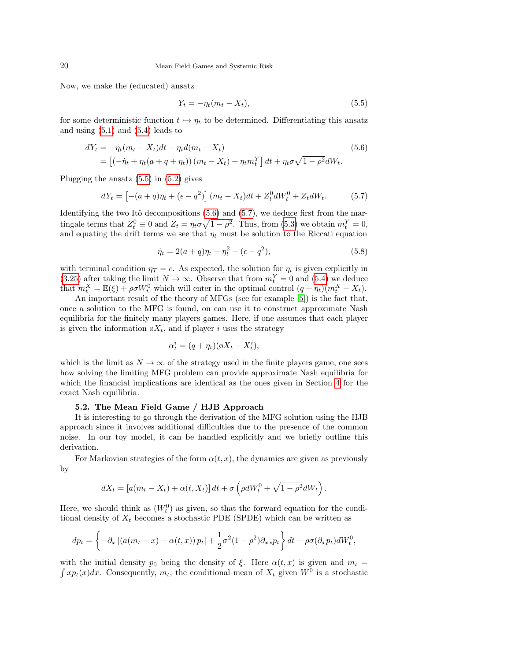Now, we make the (educated) ansatz

<span id="page-19-0"></span>
$$
Y_t = -\eta_t (m_t - X_t),\tag{5.5}
$$

for some deterministic function  $t \hookrightarrow \eta_t$  to be determined. Differentiating this ansatz and using  $(5.1)$  and  $(5.4)$  leads to

<span id="page-19-1"></span>
$$
dY_t = -\dot{\eta}_t (m_t - X_t) dt - \eta_t d(m_t - X_t)
$$
  
= 
$$
[(-\dot{\eta}_t + \eta_t (a + q + \eta_t)) (m_t - X_t) + \eta_t m_t^Y] dt + \eta_t \sigma \sqrt{1 - \rho^2} dW_t.
$$
 (5.6)

Plugging the ansatz [\(5.5\)](#page-19-0) in [\(5.2\)](#page-18-0) gives

<span id="page-19-2"></span>
$$
dY_t = [-(a+q)\eta_t + (\epsilon - q^2)] (m_t - X_t)dt + Z_t^0 dW_t^0 + Z_t dW_t.
$$
 (5.7)

Identifying the two Itô decompositions  $(5.6)$  and  $(5.7)$ , we deduce first from the martingale terms that  $Z_t^0 \equiv 0$  and  $Z_t = \eta_t \sigma \sqrt{1 - \rho^2}$ . Thus, from [\(5.3\)](#page-18-2) we obtain  $m_t^Y = 0$ , and equating the drift terms we see that  $\eta_t$  must be solution to the Riccati equation

<span id="page-19-3"></span>
$$
\dot{\eta}_t = 2(a+q)\eta_t + \eta_t^2 - (\epsilon - q^2),\tag{5.8}
$$

with terminal condition  $\eta_T = c$ . As expected, the solution for  $\eta_t$  is given explicitly in [\(3.25\)](#page-11-3) after taking the limit  $N \to \infty$ . Observe that from  $m_t^Y = 0$  and [\(5.4\)](#page-18-1) we deduce that  $m_t^X = \mathbb{E}(\xi) + \rho \sigma W_t^0$  which will enter in the optimal control  $(q + \eta_t)(m_t^X - X_t)$ .

An important result of the theory of MFGs (see for example [\[5\]](#page-21-13)) is the fact that, once a solution to the MFG is found, on can use it to construct approximate Nash equilibria for the finitely many players games. Here, if one assumes that each player is given the information  $\phi X_t$ , and if player i uses the strategy

$$
\alpha_t^i = (q + \eta_t)(\emptyset X_t - X_t^i),
$$

which is the limit as  $N \to \infty$  of the strategy used in the finite players game, one sees how solving the limiting MFG problem can provide approximate Nash equilibria for which the financial implications are identical as the ones given in Section [4](#page-15-0) for the exact Nash equilibria.

## 5.2. The Mean Field Game / HJB Approach

It is interesting to go through the derivation of the MFG solution using the HJB approach since it involves additional difficulties due to the presence of the common noise. In our toy model, it can be handled explicitly and we briefly outline this derivation.

For Markovian strategies of the form  $\alpha(t, x)$ , the dynamics are given as previously by

$$
dX_t = [a(m_t - X_t) + \alpha(t, X_t)] dt + \sigma \left(\rho dW_t^0 + \sqrt{1 - \rho^2} dW_t\right).
$$

Here, we should think as  $(W_t^0)$  as given, so that the forward equation for the conditional density of  $X_t$  becomes a stochastic PDE (SPDE) which can be written as

$$
dp_t = \left\{-\partial_x \left[ \left( a(m_t - x) + \alpha(t, x) \right) p_t \right] + \frac{1}{2} \sigma^2 (1 - \rho^2) \partial_{xx} p_t \right\} dt - \rho \sigma(\partial_x p_t) dW_t^0,
$$

with the initial density  $p_0$  being the density of  $\xi$ . Here  $\alpha(t, x)$  is given and  $m_t =$  $\int x p_t(x) dx$ . Consequently,  $m_t$ , the conditional mean of  $X_t$  given  $W^0$  is a stochastic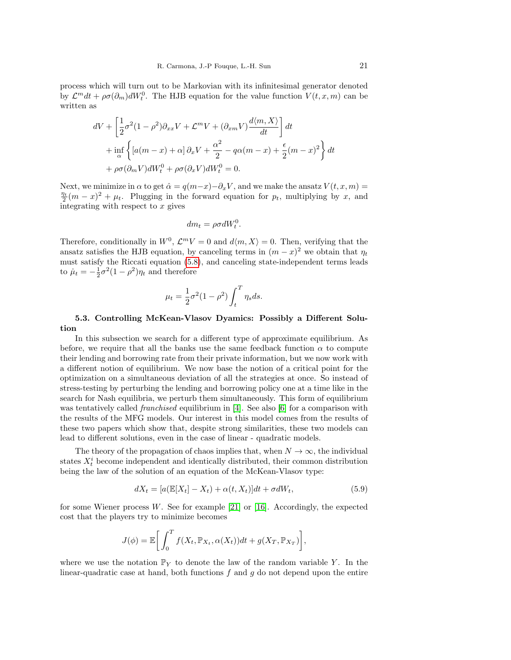process which will turn out to be Markovian with its infinitesimal generator denoted by  $\mathcal{L}^m dt + \rho \sigma(\partial_m) dW_t^0$ . The HJB equation for the value function  $V(t, x, m)$  can be written as

$$
dV + \left[\frac{1}{2}\sigma^2(1-\rho^2)\partial_{xx}V + \mathcal{L}^mV + (\partial_{xm}V)\frac{d\langle m, X\rangle}{dt}\right]dt
$$
  
+ 
$$
\inf_{\alpha} \left\{ \left[a(m-x) + \alpha\right]\partial_x V + \frac{\alpha^2}{2} - q\alpha(m-x) + \frac{\epsilon}{2}(m-x)^2 \right\}dt
$$
  
+ 
$$
\rho\sigma(\partial_m V)dW_t^0 + \rho\sigma(\partial_x V)dW_t^0 = 0.
$$

Next, we minimize in  $\alpha$  to get  $\hat{\alpha} = q(m-x) - \partial_x V$ , and we make the ansatz  $V(t, x, m) =$  $\frac{\eta_t}{2}(m-x)^2 + \mu_t$ . Plugging in the forward equation for  $p_t$ , multiplying by x, and integrating with respect to  $x$  gives

$$
dm_t = \rho \sigma dW_t^0.
$$

Therefore, conditionally in  $W^0$ ,  $\mathcal{L}^m V = 0$  and  $d\langle m, X \rangle = 0$ . Then, verifying that the ansatz satisfies the HJB equation, by canceling terms in  $(m - x)^2$  we obtain that  $\eta_t$ must satisfy the Riccati equation [\(5.8\)](#page-19-3), and canceling state-independent terms leads to  $\dot{\mu}_t = -\frac{1}{2}\sigma^2(1-\rho^2)\eta_t$  and therefore

$$
\mu_t = \frac{1}{2}\sigma^2(1-\rho^2)\int_t^T \eta_s ds.
$$

## 5.3. Controlling McKean-Vlasov Dyamics: Possibly a Different Solution

In this subsection we search for a different type of approximate equilibrium. As before, we require that all the banks use the same feedback function  $\alpha$  to compute their lending and borrowing rate from their private information, but we now work with a different notion of equilibrium. We now base the notion of a critical point for the optimization on a simultaneous deviation of all the strategies at once. So instead of stress-testing by perturbing the lending and borrowing policy one at a time like in the search for Nash equilibria, we perturb them simultaneously. This form of equilibrium was tentatively called *franchised* equilibrium in [\[4\]](#page-21-14). See also [\[6\]](#page-21-11) for a comparison with the results of the MFG models. Our interest in this model comes from the results of these two papers which show that, despite strong similarities, these two models can lead to different solutions, even in the case of linear - quadratic models.

The theory of the propagation of chaos implies that, when  $N \to \infty$ , the individual states  $X_t^i$  become independent and identically distributed, their common distribution being the law of the solution of an equation of the McKean-Vlasov type:

<span id="page-20-0"></span>
$$
dX_t = [a(\mathbb{E}[X_t] - X_t) + \alpha(t, X_t)]dt + \sigma dW_t, \qquad (5.9)
$$

for some Wiener process  $W$ . See for example [\[21\]](#page-22-1) or [\[16\]](#page-21-18). Accordingly, the expected cost that the players try to minimize becomes

$$
J(\phi) = \mathbb{E}\bigg[\int_0^T f(X_t, \mathbb{P}_{X_t}, \alpha(X_t))dt + g(X_T, \mathbb{P}_{X_T})\bigg],
$$

where we use the notation  $\mathbb{P}_Y$  to denote the law of the random variable Y. In the linear-quadratic case at hand, both functions  $f$  and  $g$  do not depend upon the entire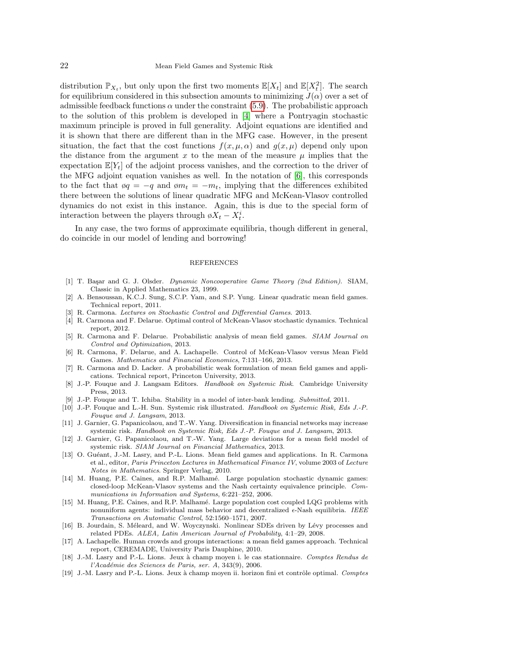distribution  $\mathbb{P}_{X_t}$ , but only upon the first two moments  $\mathbb{E}[X_t]$  and  $\mathbb{E}[X_t^2]$ . The search for equilibrium considered in this subsection amounts to minimizing  $J(\alpha)$  over a set of admissible feedback functions  $\alpha$  under the constraint [\(5.9\)](#page-20-0). The probabilistic approach to the solution of this problem is developed in [\[4\]](#page-21-14) where a Pontryagin stochastic maximum principle is proved in full generality. Adjoint equations are identified and it is shown that there are different than in the MFG case. However, in the present situation, the fact that the cost functions  $f(x, \mu, \alpha)$  and  $g(x, \mu)$  depend only upon the distance from the argument x to the mean of the measure  $\mu$  implies that the expectation  $\mathbb{E}[Y_t]$  of the adjoint process vanishes, and the correction to the driver of the MFG adjoint equation vanishes as well. In the notation of [\[6\]](#page-21-11), this corresponds to the fact that  $\varphi q = -q$  and  $\varphi m_t = -m_t$ , implying that the differences exhibited there between the solutions of linear quadratic MFG and McKean-Vlasov controlled dynamics do not exist in this instance. Again, this is due to the special form of interaction between the players through  $\phi X_t - X_t^i$ .

In any case, the two forms of approximate equilibria, though different in general, do coincide in our model of lending and borrowing!

#### REFERENCES

- <span id="page-21-16"></span>[1] T. Başar and G. J. Olsder. Dynamic Noncooperative Game Theory (2nd Edition). SIAM, Classic in Applied Mathematics 23, 1999.
- <span id="page-21-12"></span>[2] A. Bensoussan, K.C.J. Sung, S.C.P. Yam, and S.P. Yung. Linear quadratic mean field games. Technical report, 2011.
- <span id="page-21-17"></span>[3] R. Carmona. Lectures on Stochastic Control and Differential Games. 2013.
- <span id="page-21-14"></span>[4] R. Carmona and F. Delarue. Optimal control of McKean-Vlasov stochastic dynamics. Technical report, 2012.
- <span id="page-21-13"></span>[5] R. Carmona and F. Delarue. Probabilistic analysis of mean field games. SIAM Journal on Control and Optimization, 2013.
- <span id="page-21-11"></span>[6] R. Carmona, F. Delarue, and A. Lachapelle. Control of McKean-Vlasov versus Mean Field Games. Mathematics and Financial Economics, 7:131–166, 2013.
- <span id="page-21-15"></span>[7] R. Carmona and D. Lacker. A probabilistic weak formulation of mean field games and applications. Technical report, Princeton University, 2013.
- <span id="page-21-0"></span>[8] J.-P. Fouque and J. Langsam Editors. Handbook on Systemic Risk. Cambridge University Press, 2013.
- <span id="page-21-1"></span>[9] J.-P. Fouque and T. Ichiba. Stability in a model of inter-bank lending. Submitted, 2011.
- <span id="page-21-2"></span>[10] J.-P. Fouque and L.-H. Sun. Systemic risk illustrated. Handbook on Systemic Risk, Eds J.-P. Fouque and J. Langsam, 2013.
- <span id="page-21-3"></span>[11] J. Garnier, G. Papanicolaou, and T.-W. Yang. Diversification in financial networks may increase systemic risk. Handbook on Systemic Risk, Eds J.-P. Fouque and J. Langsam, 2013.
- <span id="page-21-4"></span>[12] J. Garnier, G. Papanicolaou, and T.-W. Yang. Large deviations for a mean field model of systemic risk. SIAM Journal on Financial Mathematics, 2013.
- <span id="page-21-7"></span>[13] O. Guéant, J.-M. Lasry, and P.-L. Lions. Mean field games and applications. In R. Carmona et al., editor, Paris Princeton Lectures in Mathematical Finance IV, volume 2003 of Lecture Notes in Mathematics. Springer Verlag, 2010.
- <span id="page-21-9"></span>[14] M. Huang, P.E. Caines, and R.P. Malhamé. Large population stochastic dynamic games: closed-loop McKean-Vlasov systems and the Nash certainty equivalence principle. Communications in Information and Systems, 6:221–252, 2006.
- <span id="page-21-10"></span>[15] M. Huang, P.E. Caines, and R.P. Malham´e. Large population cost coupled LQG problems with nonuniform agents: individual mass behavior and decentralized  $\epsilon$ -Nash equilibria. IEEE Transactions on Automatic Control, 52:1560–1571, 2007.
- <span id="page-21-18"></span>[16] B. Jourdain, S. Méleard, and W. Woyczynski. Nonlinear SDEs driven by Lévy processes and related PDEs. ALEA, Latin American Journal of Probability, 4:1–29, 2008.
- <span id="page-21-8"></span>[17] A. Lachapelle. Human crowds and groups interactions: a mean field games approach. Technical report, CEREMADE, University Paris Dauphine, 2010.
- <span id="page-21-5"></span>[18] J.-M. Lasry and P.-L. Lions. Jeux à champ moyen i. le cas stationnaire. Comptes Rendus de l'Académie des Sciences de Paris, ser. A, 343(9), 2006.
- <span id="page-21-6"></span>[19] J.-M. Lasry and P.-L. Lions. Jeux à champ moyen ii. horizon fini et contrôle optimal. Comptes